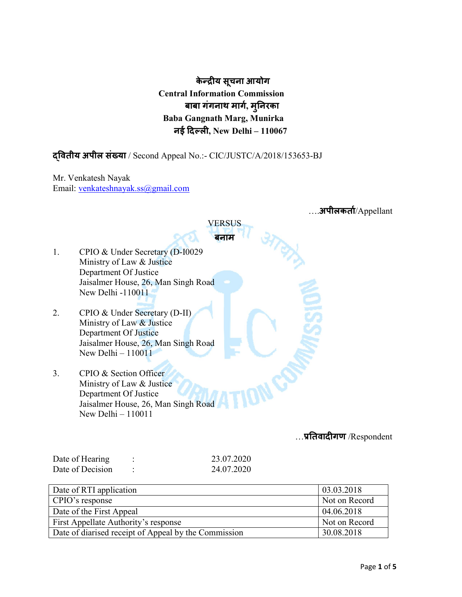केन्द्रीय सूचना आयोग Central Information Commission बाबा गंगनाथ माग, मुनरका Baba Gangnath Marg, Munirka नई दिल्ली, New Delhi - 110067

# वतीय अपील संया / Second Appeal No.:- CIC/JUSTC/A/2018/153653-BJ

Mr. Venkatesh Nayak Email: venkateshnayak.ss@gmail.com

|    | . <b>अपीलकर्ता</b> /Appellant       |  |  |  |  |
|----|-------------------------------------|--|--|--|--|
|    | VERSUS                              |  |  |  |  |
|    | बनाम                                |  |  |  |  |
| 1. | CPIO & Under Secretary (D-I0029     |  |  |  |  |
|    | Ministry of Law & Justice           |  |  |  |  |
|    | Department Of Justice               |  |  |  |  |
|    | Jaisalmer House, 26, Man Singh Road |  |  |  |  |
|    | New Delhi -110011                   |  |  |  |  |
|    |                                     |  |  |  |  |
| 2. | CPIO & Under Secretary (D-II)       |  |  |  |  |
|    | Ministry of Law & Justice           |  |  |  |  |
|    | Department Of Justice               |  |  |  |  |
|    | Jaisalmer House, 26, Man Singh Road |  |  |  |  |
|    | New Delhi $-110011$                 |  |  |  |  |
|    |                                     |  |  |  |  |
| 3. | CPIO & Section Officer              |  |  |  |  |
|    | Ministry of Law & Justice           |  |  |  |  |
|    | Department Of Justice               |  |  |  |  |
|    | Jaisalmer House, 26, Man Singh Road |  |  |  |  |
|    | New Delhi - 110011                  |  |  |  |  |
|    | $\pi\pi$ Decreedent                 |  |  |  |  |

…तवादगण /Respondent

| Date of Hearing  | 23.07.2020 |
|------------------|------------|
| Date of Decision | 24.07.2020 |

| Date of RTI application                              | 03.03.2018    |
|------------------------------------------------------|---------------|
| CPIO's response                                      | Not on Record |
| Date of the First Appeal                             | 04.06.2018    |
| First Appellate Authority's response                 | Not on Record |
| Date of diarised receipt of Appeal by the Commission | 30.08.2018    |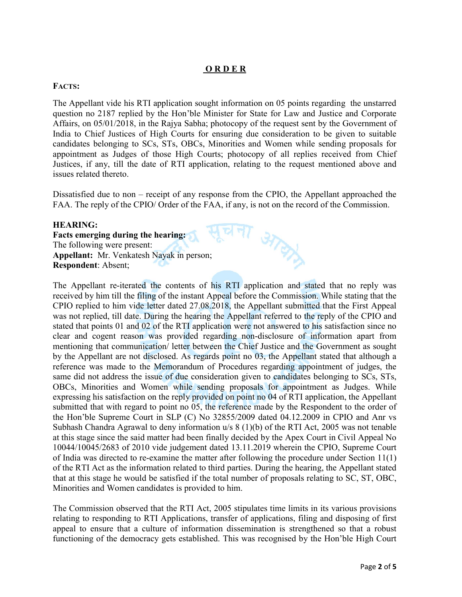## O R D E R

## FACTS:

The Appellant vide his RTI application sought information on 05 points regarding the unstarred question no 2187 replied by the Hon'ble Minister for State for Law and Justice and Corporate Affairs, on 05/01/2018, in the Rajya Sabha; photocopy of the request sent by the Government of India to Chief Justices of High Courts for ensuring due consideration to be given to suitable candidates belonging to SCs, STs, OBCs, Minorities and Women while sending proposals for appointment as Judges of those High Courts; photocopy of all replies received from Chief Justices, if any, till the date of RTI application, relating to the request mentioned above and issues related thereto.

Dissatisfied due to non – receipt of any response from the CPIO, the Appellant approached the FAA. The reply of the CPIO/ Order of the FAA, if any, is not on the record of the Commission.

**STATION** 

### HEARING:

Facts emerging during the hearing: The following were present: Appellant: Mr. Venkatesh Nayak in person; Respondent: Absent;

The Appellant re-iterated the contents of his RTI application and stated that no reply was received by him till the filing of the instant Appeal before the Commission. While stating that the CPIO replied to him vide letter dated 27.08.2018, the Appellant submitted that the First Appeal was not replied, till date. During the hearing the Appellant referred to the reply of the CPIO and stated that points 01 and 02 of the RTI application were not answered to his satisfaction since no clear and cogent reason was provided regarding non-disclosure of information apart from mentioning that communication/ letter between the Chief Justice and the Government as sought by the Appellant are not disclosed. As regards point no 03, the Appellant stated that although a reference was made to the Memorandum of Procedures regarding appointment of judges, the same did not address the issue of due consideration given to candidates belonging to SCs, STs, OBCs, Minorities and Women while sending proposals for appointment as Judges. While expressing his satisfaction on the reply provided on point no 04 of RTI application, the Appellant submitted that with regard to point no 05, the reference made by the Respondent to the order of the Hon'ble Supreme Court in SLP (C) No 32855/2009 dated 04.12.2009 in CPIO and Anr vs Subhash Chandra Agrawal to deny information u/s 8 (1)(b) of the RTI Act, 2005 was not tenable at this stage since the said matter had been finally decided by the Apex Court in Civil Appeal No 10044/10045/2683 of 2010 vide judgement dated 13.11.2019 wherein the CPIO, Supreme Court of India was directed to re-examine the matter after following the procedure under Section 11(1) of the RTI Act as the information related to third parties. During the hearing, the Appellant stated that at this stage he would be satisfied if the total number of proposals relating to SC, ST, OBC, Minorities and Women candidates is provided to him.

The Commission observed that the RTI Act, 2005 stipulates time limits in its various provisions relating to responding to RTI Applications, transfer of applications, filing and disposing of first appeal to ensure that a culture of information dissemination is strengthened so that a robust functioning of the democracy gets established. This was recognised by the Hon'ble High Court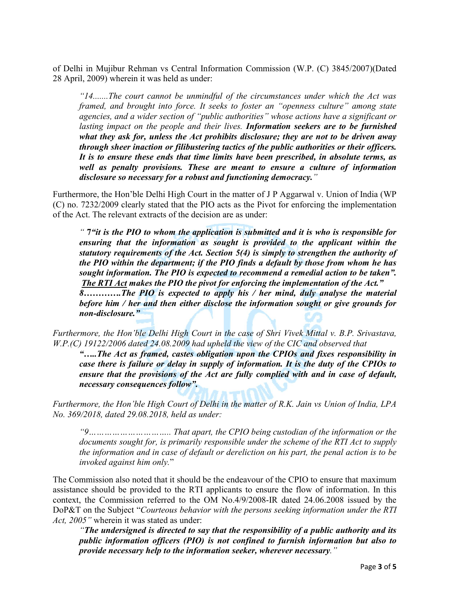of Delhi in Mujibur Rehman vs Central Information Commission (W.P. (C) 3845/2007)(Dated 28 April, 2009) wherein it was held as under:

*"14.......The court cannot be unmindful of the circumstances under which the Act was framed, and brought into force. It seeks to foster an "openness culture" among state agencies, and a wider section of "public authorities" whose actions have a significant or lasting impact on the people and their lives. Information seekers are to be furnished what they ask for, unless the Act prohibits disclosure; they are not to be driven away through sheer inaction or filibustering tactics of the public authorities or their officers. It is to ensure these ends that time limits have been prescribed, in absolute terms, as well as penalty provisions. These are meant to ensure a culture of information disclosure so necessary for a robust and functioning democracy."* 

Furthermore, the Hon'ble Delhi High Court in the matter of J P Aggarwal v. Union of India (WP (C) no. 7232/2009 clearly stated that the PIO acts as the Pivot for enforcing the implementation of the Act. The relevant extracts of the decision are as under:

*"* 7*"it is the PIO to whom the application is submitted and it is who is responsible for ensuring that the information as sought is provided to the applicant within the statutory requirements of the Act. Section 5(4) is simply to strengthen the authority of the PIO within the department; if the PIO finds a default by those from whom he has sought information. The PIO is expected to recommend a remedial action to be taken". The RTI Act makes the PIO the pivot for enforcing the implementation of the Act."*

*8………….The PIO is expected to apply his / her mind, duly analyse the material before him / her and then either disclose the information sought or give grounds for non-disclosure."*

*Furthermore, the Hon'ble Delhi High Court in the case of Shri Vivek Mittal v. B.P. Srivastava, W.P.(C) 19122/2006 dated 24.08.2009 had upheld the view of the CIC and observed that*

*"…..The Act as framed, castes obligation upon the CPIOs and fixes responsibility in case there is failure or delay in supply of information. It is the duty of the CPIOs to ensure that the provisions of the Act are fully complied with and in case of default, necessary consequences follow".*

*Furthermore, the Hon'ble High Court of Delhi in the matter of R.K. Jain vs Union of India, LPA No. 369/2018, dated 29.08.2018, held as under:*

*"9………………………….. That apart, the CPIO being custodian of the information or the documents sought for, is primarily responsible under the scheme of the RTI Act to supply the information and in case of default or dereliction on his part, the penal action is to be invoked against him only.*"

The Commission also noted that it should be the endeavour of the CPIO to ensure that maximum assistance should be provided to the RTI applicants to ensure the flow of information. In this context, the Commission referred to the OM No.4/9/2008-IR dated 24.06.2008 issued by the DoP&T on the Subject "*Courteous behavior with the persons seeking information under the RTI Act, 2005"* wherein it was stated as under:

*"The undersigned is directed to say that the responsibility of a public authority and its public information officers (PIO) is not confined to furnish information but also to provide necessary help to the information seeker, wherever necessary."*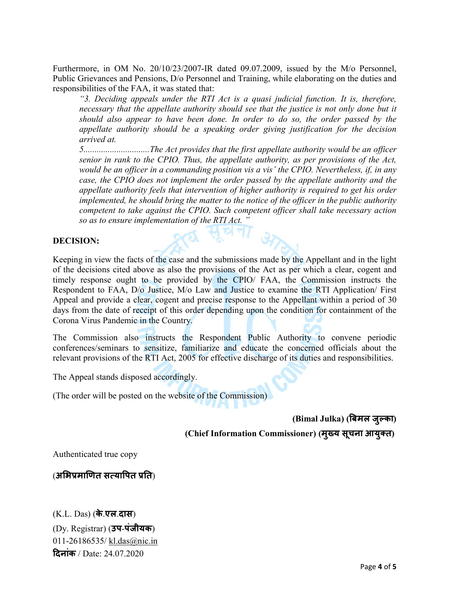Furthermore, in OM No. 20/10/23/2007-IR dated 09.07.2009, issued by the M/o Personnel, Public Grievances and Pensions, D/o Personnel and Training, while elaborating on the duties and responsibilities of the FAA, it was stated that:

*"3. Deciding appeals under the RTI Act is a quasi judicial function. It is, therefore, necessary that the appellate authority should see that the justice is not only done but it should also appear to have been done. In order to do so, the order passed by the appellate authority should be a speaking order giving justification for the decision arrived at.*

*5..............................The Act provides that the first appellate authority would be an officer senior in rank to the CPIO. Thus, the appellate authority, as per provisions of the Act, would be an officer in a commanding position vis a vis' the CPIO. Nevertheless, if, in any case, the CPIO does not implement the order passed by the appellate authority and the appellate authority feels that intervention of higher authority is required to get his order implemented, he should bring the matter to the notice of the officer in the public authority competent to take against the CPIO. Such competent officer shall take necessary action so as to ensure implementation of the RTI Act. "*

### DECISION:

Keeping in view the facts of the case and the submissions made by the Appellant and in the light of the decisions cited above as also the provisions of the Act as per which a clear, cogent and timely response ought to be provided by the CPIO/ FAA, the Commission instructs the Respondent to FAA, D/o Justice, M/o Law and Justice to examine the RTI Application/ First Appeal and provide a clear, cogent and precise response to the Appellant within a period of 30 days from the date of receipt of this order depending upon the condition for containment of the Corona Virus Pandemic in the Country.

The Commission also instructs the Respondent Public Authority to convene periodic conferences/seminars to sensitize, familiarize and educate the concerned officials about the relevant provisions of the RTI Act, 2005 for effective discharge of its duties and responsibilities.

The Appeal stands disposed accordingly.

(The order will be posted on the website of the Commission)

(Bimal Julka) (बमल जु का)

(Chief Information Commissioner) (मुख्य सूचना आयुक्त)

Authenticated true copy

(अभिप्रमाणित सत्यापित प्रति)

(K.L. Das) (के.एल.दास) (Dy. Registrar) (उप-[पंजीयक](mailto:kl.das@nic.in)) 011-26186535/ kl.das@nic.in दिनांक / Date: 24.07.2020